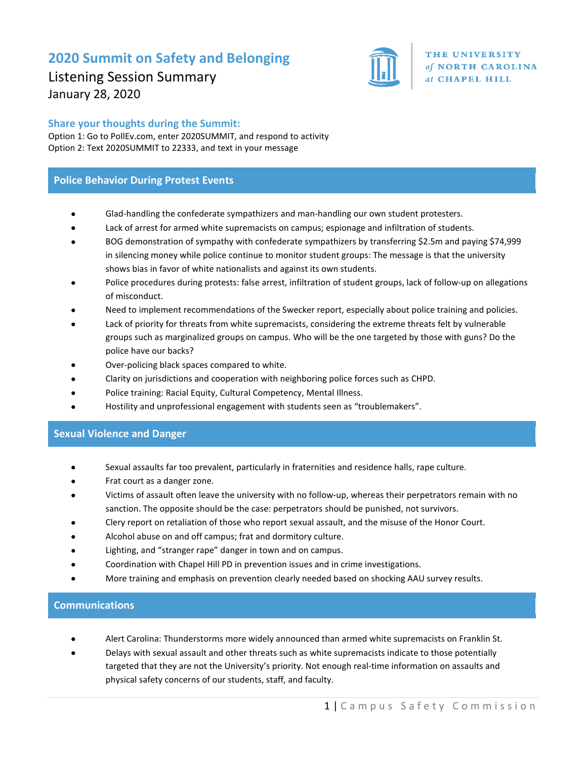# **2020 Summit on Safety and Belonging**



Listening Session Summary January 28, 2020

## **Share your thoughts during the Summit:**

Option 1: Go to PollEv.com, enter 2020SUMMIT, and respond to activity Option 2: Text 2020SUMMIT to 22333, and text in your message

## **Police Behavior During Protest Events**

- Glad-handling the confederate sympathizers and man-handling our own student protesters.
- Lack of arrest for armed white supremacists on campus; espionage and infiltration of students.
- BOG demonstration of sympathy with confederate sympathizers by transferring \$2.5m and paying \$74,999 in silencing money while police continue to monitor student groups: The message is that the university shows bias in favor of white nationalists and against its own students.
- Police procedures during protests: false arrest, infiltration of student groups, lack of follow-up on allegations of misconduct.
- Need to implement recommendations of the Swecker report, especially about police training and policies.
- Lack of priority for threats from white supremacists, considering the extreme threats felt by vulnerable groups such as marginalized groups on campus. Who will be the one targeted by those with guns? Do the police have our backs?
- Over-policing black spaces compared to white.
- Clarity on jurisdictions and cooperation with neighboring police forces such as CHPD.
- Police training: Racial Equity, Cultural Competency, Mental Illness.
- Hostility and unprofessional engagement with students seen as "troublemakers".

#### **Sexual Violence and Danger**

- Sexual assaults far too prevalent, particularly in fraternities and residence halls, rape culture.
- Frat court as a danger zone.
- Victims of assault often leave the university with no follow-up, whereas their perpetrators remain with no sanction. The opposite should be the case: perpetrators should be punished, not survivors.
- Clery report on retaliation of those who report sexual assault, and the misuse of the Honor Court.
- Alcohol abuse on and off campus; frat and dormitory culture.
- Lighting, and "stranger rape" danger in town and on campus.
- Coordination with Chapel Hill PD in prevention issues and in crime investigations.
- More training and emphasis on prevention clearly needed based on shocking AAU survey results.

#### **Communications**

- Alert Carolina: Thunderstorms more widely announced than armed white supremacists on Franklin St.
- Delays with sexual assault and other threats such as white supremacists indicate to those potentially targeted that they are not the University's priority. Not enough real-time information on assaults and physical safety concerns of our students, staff, and faculty.